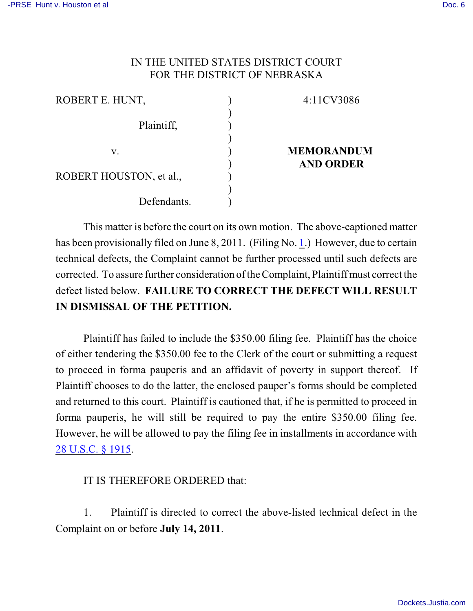## IN THE UNITED STATES DISTRICT COURT FOR THE DISTRICT OF NEBRASKA

| ROBERT E. HUNT,         |  | 4:11CV3086                            |
|-------------------------|--|---------------------------------------|
| Plaintiff,              |  |                                       |
| V.                      |  | <b>MEMORANDUM</b><br><b>AND ORDER</b> |
| ROBERT HOUSTON, et al., |  |                                       |
| Defendants.             |  |                                       |

This matter is before the court on its own motion. The above-captioned matter has been provisionally filed on June 8, 2011. (Filing No. [1](http://ecf.ned.uscourts.gov/doc1/11302287576).) However, due to certain technical defects, the Complaint cannot be further processed until such defects are corrected. To assure further consideration of the Complaint, Plaintiff must correct the defect listed below. **FAILURE TO CORRECT THE DEFECT WILL RESULT IN DISMISSAL OF THE PETITION.** 

Plaintiff has failed to include the \$350.00 filing fee. Plaintiff has the choice of either tendering the \$350.00 fee to the Clerk of the court or submitting a request to proceed in forma pauperis and an affidavit of poverty in support thereof. If Plaintiff chooses to do the latter, the enclosed pauper's forms should be completed and returned to this court. Plaintiff is cautioned that, if he is permitted to proceed in forma pauperis, he will still be required to pay the entire \$350.00 filing fee. However, he will be allowed to pay the filing fee in installments in accordance with [28 U.S.C. § 1915](http://web2.westlaw.com/find/default.wl?fn=_top&rs=WLW8.10&rp=%2ffind%2fdefault.wl&mt=Westlaw&vr=2.0&sv=Split&cite=28+usc+1915).

## IT IS THEREFORE ORDERED that:

1. Plaintiff is directed to correct the above-listed technical defect in the Complaint on or before **July 14, 2011**.